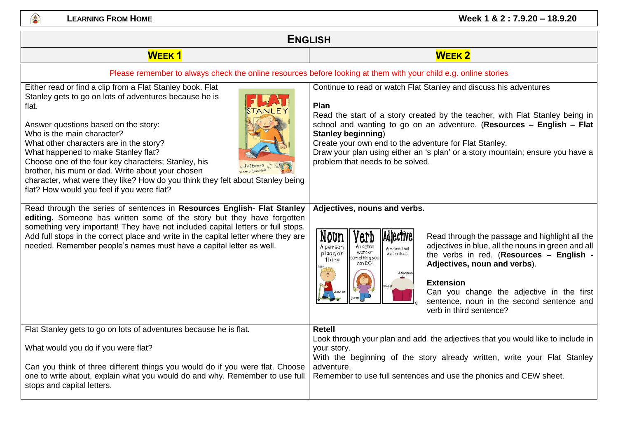

| <b>ENGLISH</b>                                                                                                                                                                                                                                                                                                                                                                                                                                                                                                                                                                                                                                                                                                                                                                                                                                                                                                                       |                                                                                                                                                                                                                                                                                                                                                                                                                                                                                                                                                                                                                                                                                                                                                                                                                                                                                                                                                                           |
|--------------------------------------------------------------------------------------------------------------------------------------------------------------------------------------------------------------------------------------------------------------------------------------------------------------------------------------------------------------------------------------------------------------------------------------------------------------------------------------------------------------------------------------------------------------------------------------------------------------------------------------------------------------------------------------------------------------------------------------------------------------------------------------------------------------------------------------------------------------------------------------------------------------------------------------|---------------------------------------------------------------------------------------------------------------------------------------------------------------------------------------------------------------------------------------------------------------------------------------------------------------------------------------------------------------------------------------------------------------------------------------------------------------------------------------------------------------------------------------------------------------------------------------------------------------------------------------------------------------------------------------------------------------------------------------------------------------------------------------------------------------------------------------------------------------------------------------------------------------------------------------------------------------------------|
| <b>WEEK1</b>                                                                                                                                                                                                                                                                                                                                                                                                                                                                                                                                                                                                                                                                                                                                                                                                                                                                                                                         | <b>WEEK2</b>                                                                                                                                                                                                                                                                                                                                                                                                                                                                                                                                                                                                                                                                                                                                                                                                                                                                                                                                                              |
|                                                                                                                                                                                                                                                                                                                                                                                                                                                                                                                                                                                                                                                                                                                                                                                                                                                                                                                                      | Please remember to always check the online resources before looking at them with your child e.g. online stories                                                                                                                                                                                                                                                                                                                                                                                                                                                                                                                                                                                                                                                                                                                                                                                                                                                           |
| Either read or find a clip from a Flat Stanley book. Flat<br>Stanley gets to go on lots of adventures because he is<br>flat.<br>Answer questions based on the story:<br>Who is the main character?<br>What other characters are in the story?<br>What happened to make Stanley flat?<br>Choose one of the four key characters; Stanley, his<br>brother, his mum or dad. Write about your chosen<br>character, what were they like? How do you think they felt about Stanley being<br>flat? How would you feel if you were flat?<br>Read through the series of sentences in Resources English- Flat Stanley<br>editing. Someone has written some of the story but they have forgotten<br>something very important! They have not included capital letters or full stops.<br>Add full stops in the correct place and write in the capital letter where they are<br>needed. Remember people's names must have a capital letter as well. | Continue to read or watch Flat Stanley and discuss his adventures<br>Plan<br>Read the start of a story created by the teacher, with Flat Stanley being in<br>school and wanting to go on an adventure. (Resources - English - Flat<br><b>Stanley beginning)</b><br>Create your own end to the adventure for Flat Stanley.<br>Draw your plan using either an 's plan' or a story mountain; ensure you have a<br>problem that needs to be solved.<br>Adjectives, nouns and verbs.<br>Noun<br>Adjective<br>Read through the passage and highlight all the<br>'erd<br>adjectives in blue, all the nouns in green and all<br>A person<br>An action<br>A word that<br>word or<br>place, or<br>describes.<br>the verbs in red. (Resources - English -<br>something you<br>th ing<br>can DO!<br>Adjectives, noun and verbs).<br>deljciou<br><b>Extension</b><br>Can you change the adjective in the first<br>sentence, noun in the second sentence and<br>verb in third sentence? |
| Flat Stanley gets to go on lots of adventures because he is flat.<br>What would you do if you were flat?                                                                                                                                                                                                                                                                                                                                                                                                                                                                                                                                                                                                                                                                                                                                                                                                                             | <b>Retell</b><br>Look through your plan and add the adjectives that you would like to include in<br>your story.                                                                                                                                                                                                                                                                                                                                                                                                                                                                                                                                                                                                                                                                                                                                                                                                                                                           |
| Can you think of three different things you would do if you were flat. Choose<br>one to write about, explain what you would do and why. Remember to use full<br>stops and capital letters.                                                                                                                                                                                                                                                                                                                                                                                                                                                                                                                                                                                                                                                                                                                                           | With the beginning of the story already written, write your Flat Stanley<br>adventure.<br>Remember to use full sentences and use the phonics and CEW sheet.                                                                                                                                                                                                                                                                                                                                                                                                                                                                                                                                                                                                                                                                                                                                                                                                               |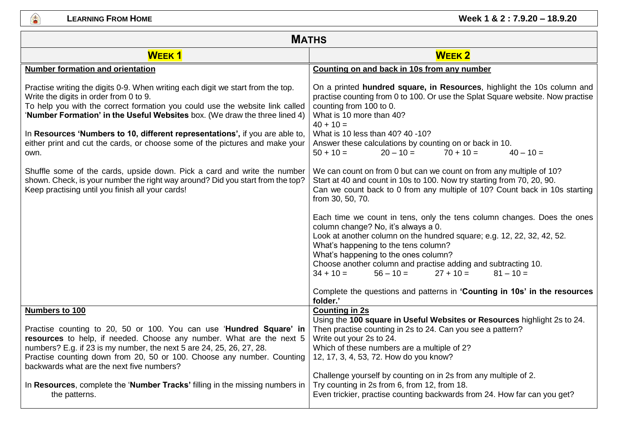幽

| <b>MATHS</b>                                                                                                                                                                                                                                                                                                                                                            |                                                                                                                                                                                                                                                                                                                                                                                                       |
|-------------------------------------------------------------------------------------------------------------------------------------------------------------------------------------------------------------------------------------------------------------------------------------------------------------------------------------------------------------------------|-------------------------------------------------------------------------------------------------------------------------------------------------------------------------------------------------------------------------------------------------------------------------------------------------------------------------------------------------------------------------------------------------------|
| <b>WEEK1</b>                                                                                                                                                                                                                                                                                                                                                            | <b>WEEK2</b>                                                                                                                                                                                                                                                                                                                                                                                          |
| <b>Number formation and orientation</b>                                                                                                                                                                                                                                                                                                                                 | Counting on and back in 10s from any number                                                                                                                                                                                                                                                                                                                                                           |
| Practise writing the digits 0-9. When writing each digit we start from the top.<br>Write the digits in order from 0 to 9.<br>To help you with the correct formation you could use the website link called<br>'Number Formation' in the Useful Websites box. (We draw the three lined 4)<br>In Resources 'Numbers to 10, different representations', if you are able to, | On a printed hundred square, in Resources, highlight the 10s column and<br>practise counting from 0 to 100. Or use the Splat Square website. Now practise<br>counting from 100 to 0.<br>What is 10 more than 40?<br>$40 + 10 =$<br>What is 10 less than 40? 40 -10?                                                                                                                                   |
| either print and cut the cards, or choose some of the pictures and make your<br>own.                                                                                                                                                                                                                                                                                    | Answer these calculations by counting on or back in 10.<br>$20 - 10 =$<br>$70 + 10 =$<br>$50 + 10 =$<br>$40 - 10 =$                                                                                                                                                                                                                                                                                   |
| Shuffle some of the cards, upside down. Pick a card and write the number<br>shown. Check, is your number the right way around? Did you start from the top?<br>Keep practising until you finish all your cards!                                                                                                                                                          | We can count on from 0 but can we count on from any multiple of 10?<br>Start at 40 and count in 10s to 100. Now try starting from 70, 20, 90.<br>Can we count back to 0 from any multiple of 10? Count back in 10s starting<br>from 30, 50, 70.                                                                                                                                                       |
|                                                                                                                                                                                                                                                                                                                                                                         | Each time we count in tens, only the tens column changes. Does the ones<br>column change? No, it's always a 0.<br>Look at another column on the hundred square; e.g. 12, 22, 32, 42, 52.<br>What's happening to the tens column?<br>What's happening to the ones column?<br>Choose another column and practise adding and subtracting 10.<br>$34 + 10 =$<br>$27 + 10 =$<br>$81 - 10 =$<br>$56 - 10 =$ |
|                                                                                                                                                                                                                                                                                                                                                                         | Complete the questions and patterns in 'Counting in 10s' in the resources<br>folder.'                                                                                                                                                                                                                                                                                                                 |
| Numbers to 100<br>Practise counting to 20, 50 or 100. You can use 'Hundred Square' in<br>resources to help, if needed. Choose any number. What are the next 5<br>numbers? E.g. if 23 is my number, the next 5 are 24, 25, 26, 27, 28.<br>Practise counting down from 20, 50 or 100. Choose any number. Counting<br>backwards what are the next five numbers?            | <b>Counting in 2s</b><br>Using the 100 square in Useful Websites or Resources highlight 2s to 24.<br>Then practise counting in 2s to 24. Can you see a pattern?<br>Write out your 2s to 24.<br>Which of these numbers are a multiple of 2?<br>12, 17, 3, 4, 53, 72. How do you know?                                                                                                                  |
| In Resources, complete the 'Number Tracks' filling in the missing numbers in<br>the patterns.                                                                                                                                                                                                                                                                           | Challenge yourself by counting on in 2s from any multiple of 2.<br>Try counting in 2s from 6, from 12, from 18.<br>Even trickier, practise counting backwards from 24. How far can you get?                                                                                                                                                                                                           |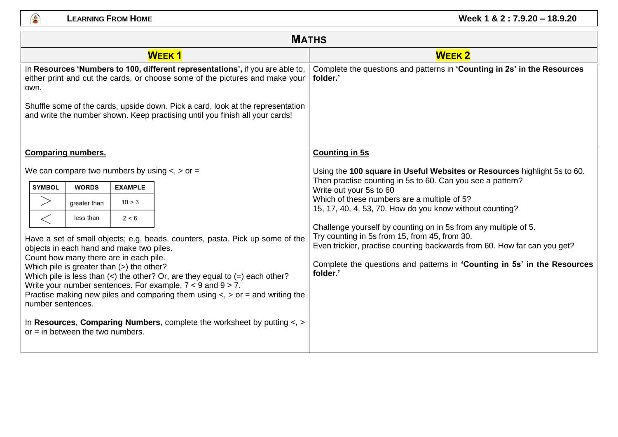

| <b>MATHS</b>                                                                                                                                                                                                                                                                                                                                                                                                                                                                                                                                                                                  |  |
|-----------------------------------------------------------------------------------------------------------------------------------------------------------------------------------------------------------------------------------------------------------------------------------------------------------------------------------------------------------------------------------------------------------------------------------------------------------------------------------------------------------------------------------------------------------------------------------------------|--|
| <b>WEEK2</b>                                                                                                                                                                                                                                                                                                                                                                                                                                                                                                                                                                                  |  |
| Complete the questions and patterns in 'Counting in 2s' in the Resources<br>folder.'                                                                                                                                                                                                                                                                                                                                                                                                                                                                                                          |  |
| <b>Counting in 5s</b><br>Using the 100 square in Useful Websites or Resources highlight 5s to 60.<br>Then practise counting in 5s to 60. Can you see a pattern?<br>Write out your 5s to 60<br>Which of these numbers are a multiple of 5?<br>15, 17, 40, 4, 53, 70. How do you know without counting?<br>Challenge yourself by counting on in 5s from any multiple of 5.<br>Try counting in 5s from 15, from 45, from 30.<br>Even trickier, practise counting backwards from 60. How far can you get?<br>Complete the questions and patterns in 'Counting in 5s' in the Resources<br>folder.' |  |
|                                                                                                                                                                                                                                                                                                                                                                                                                                                                                                                                                                                               |  |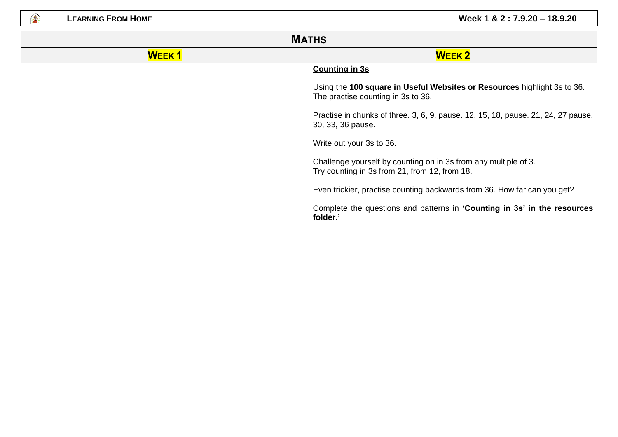●

| <b>MATHS</b> |                                                                                                                  |
|--------------|------------------------------------------------------------------------------------------------------------------|
| <b>WEEK1</b> | <b>WEEK 2</b>                                                                                                    |
|              | <b>Counting in 3s</b>                                                                                            |
|              | Using the 100 square in Useful Websites or Resources highlight 3s to 36.<br>The practise counting in 3s to 36.   |
|              | Practise in chunks of three. 3, 6, 9, pause. 12, 15, 18, pause. 21, 24, 27 pause.<br>30, 33, 36 pause.           |
|              | Write out your 3s to 36.                                                                                         |
|              | Challenge yourself by counting on in 3s from any multiple of 3.<br>Try counting in 3s from 21, from 12, from 18. |
|              | Even trickier, practise counting backwards from 36. How far can you get?                                         |
|              | Complete the questions and patterns in 'Counting in 3s' in the resources<br>folder.'                             |
|              |                                                                                                                  |
|              |                                                                                                                  |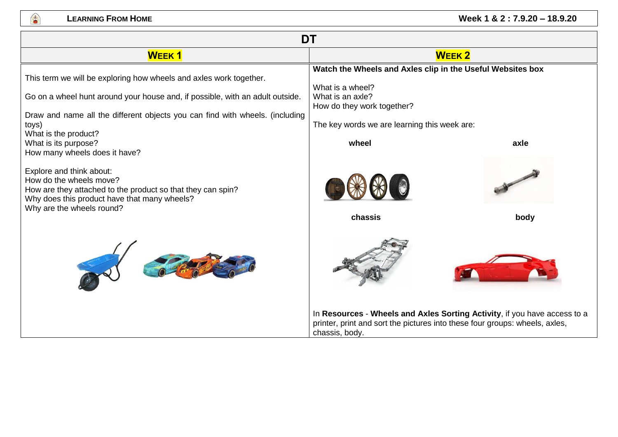

## **LEARNING FROM HOME CONSUMING <b>EXAMPLE 2** : 7.9.20 – 18.9.20

| <b>DT</b>                                                                                                                                                                                       |                                                                                                                                                                            |      |
|-------------------------------------------------------------------------------------------------------------------------------------------------------------------------------------------------|----------------------------------------------------------------------------------------------------------------------------------------------------------------------------|------|
| <b>WEEK1</b>                                                                                                                                                                                    | <b>WEEK2</b>                                                                                                                                                               |      |
| This term we will be exploring how wheels and axles work together.                                                                                                                              | Watch the Wheels and Axles clip in the Useful Websites box<br>What is a wheel?                                                                                             |      |
| Go on a wheel hunt around your house and, if possible, with an adult outside.                                                                                                                   | What is an axle?<br>How do they work together?                                                                                                                             |      |
| Draw and name all the different objects you can find with wheels. (including<br>toys)<br>What is the product?                                                                                   | The key words we are learning this week are:                                                                                                                               |      |
| What is its purpose?<br>How many wheels does it have?                                                                                                                                           | wheel                                                                                                                                                                      | axle |
| Explore and think about:<br>How do the wheels move?<br>How are they attached to the product so that they can spin?<br>Why does this product have that many wheels?<br>Why are the wheels round? |                                                                                                                                                                            |      |
|                                                                                                                                                                                                 | chassis                                                                                                                                                                    | body |
|                                                                                                                                                                                                 |                                                                                                                                                                            |      |
|                                                                                                                                                                                                 | In Resources - Wheels and Axles Sorting Activity, if you have access to a<br>printer, print and sort the pictures into these four groups: wheels, axles,<br>chassis, body. |      |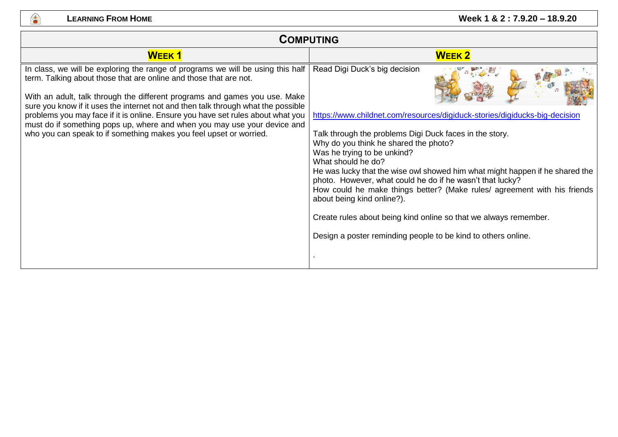

| <b>COMPUTING</b>                                                                                                                                                                                                                                                                                                                                                                                                                                                                                                                                             |                                                                                                                                                                                                                                                                                                                                                                                                                                                                                                                                                                                                                                                                  |
|--------------------------------------------------------------------------------------------------------------------------------------------------------------------------------------------------------------------------------------------------------------------------------------------------------------------------------------------------------------------------------------------------------------------------------------------------------------------------------------------------------------------------------------------------------------|------------------------------------------------------------------------------------------------------------------------------------------------------------------------------------------------------------------------------------------------------------------------------------------------------------------------------------------------------------------------------------------------------------------------------------------------------------------------------------------------------------------------------------------------------------------------------------------------------------------------------------------------------------------|
| <b>WEEK1</b>                                                                                                                                                                                                                                                                                                                                                                                                                                                                                                                                                 | <b>WEEK 2</b>                                                                                                                                                                                                                                                                                                                                                                                                                                                                                                                                                                                                                                                    |
| In class, we will be exploring the range of programs we will be using this half<br>term. Talking about those that are online and those that are not.<br>With an adult, talk through the different programs and games you use. Make<br>sure you know if it uses the internet not and then talk through what the possible<br>problems you may face if it is online. Ensure you have set rules about what you<br>must do if something pops up, where and when you may use your device and<br>who you can speak to if something makes you feel upset or worried. | Read Digi Duck's big decision<br>https://www.childnet.com/resources/digiduck-stories/digiducks-big-decision<br>Talk through the problems Digi Duck faces in the story.<br>Why do you think he shared the photo?<br>Was he trying to be unkind?<br>What should he do?<br>He was lucky that the wise owl showed him what might happen if he shared the<br>photo. However, what could he do if he wasn't that lucky?<br>How could he make things better? (Make rules/ agreement with his friends<br>about being kind online?).<br>Create rules about being kind online so that we always remember.<br>Design a poster reminding people to be kind to others online. |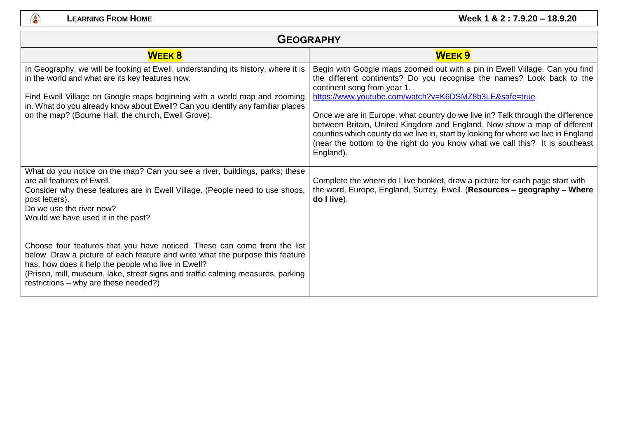

| <b>GEOGRAPHY</b>                                                                                                                                                                                                                                                                                                                                          |                                                                                                                                                                                                                                                                                                                                                                                                                                                                                                                                                                                                |
|-----------------------------------------------------------------------------------------------------------------------------------------------------------------------------------------------------------------------------------------------------------------------------------------------------------------------------------------------------------|------------------------------------------------------------------------------------------------------------------------------------------------------------------------------------------------------------------------------------------------------------------------------------------------------------------------------------------------------------------------------------------------------------------------------------------------------------------------------------------------------------------------------------------------------------------------------------------------|
| <b>WEEK 8</b>                                                                                                                                                                                                                                                                                                                                             | <b>WEEK9</b>                                                                                                                                                                                                                                                                                                                                                                                                                                                                                                                                                                                   |
| In Geography, we will be looking at Ewell, understanding its history, where it is<br>in the world and what are its key features now.<br>Find Ewell Village on Google maps beginning with a world map and zooming<br>in. What do you already know about Ewell? Can you identify any familiar places<br>on the map? (Bourne Hall, the church, Ewell Grove). | Begin with Google maps zoomed out with a pin in Ewell Village. Can you find<br>the different continents? Do you recognise the names? Look back to the<br>continent song from year 1.<br>https://www.youtube.com/watch?v=K6DSMZ8b3LE&safe=true<br>Once we are in Europe, what country do we live in? Talk through the difference<br>between Britain, United Kingdom and England. Now show a map of different<br>counties which county do we live in, start by looking for where we live in England<br>(near the bottom to the right do you know what we call this? It is southeast<br>England). |
| What do you notice on the map? Can you see a river, buildings, parks; these<br>are all features of Ewell.<br>Consider why these features are in Ewell Village. (People need to use shops,<br>post letters).<br>Do we use the river now?<br>Would we have used it in the past?                                                                             | Complete the where do I live booklet, draw a picture for each page start with<br>the word, Europe, England, Surrey, Ewell. (Resources - geography - Where<br>do I live).                                                                                                                                                                                                                                                                                                                                                                                                                       |
| Choose four features that you have noticed. These can come from the list<br>below. Draw a picture of each feature and write what the purpose this feature<br>has, how does it help the people who live in Ewell?<br>(Prison, mill, museum, lake, street signs and traffic calming measures, parking<br>restrictions - why are these needed?)              |                                                                                                                                                                                                                                                                                                                                                                                                                                                                                                                                                                                                |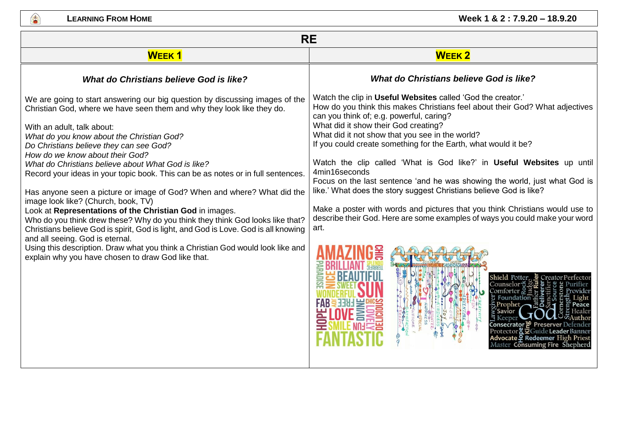

| <b>RE</b>                                                                                                                                                                                                                                                                                                                                                                                                                                                                                                                                                                                                                                                                                                                                                                                                                                                                                                                                                                                  |                                                                                                                                                                                                                                                                                                                                                                                                                                                                                                                                                                                                                                                                                                                                                                                                                                                                  |
|--------------------------------------------------------------------------------------------------------------------------------------------------------------------------------------------------------------------------------------------------------------------------------------------------------------------------------------------------------------------------------------------------------------------------------------------------------------------------------------------------------------------------------------------------------------------------------------------------------------------------------------------------------------------------------------------------------------------------------------------------------------------------------------------------------------------------------------------------------------------------------------------------------------------------------------------------------------------------------------------|------------------------------------------------------------------------------------------------------------------------------------------------------------------------------------------------------------------------------------------------------------------------------------------------------------------------------------------------------------------------------------------------------------------------------------------------------------------------------------------------------------------------------------------------------------------------------------------------------------------------------------------------------------------------------------------------------------------------------------------------------------------------------------------------------------------------------------------------------------------|
| <b>WEEK1</b>                                                                                                                                                                                                                                                                                                                                                                                                                                                                                                                                                                                                                                                                                                                                                                                                                                                                                                                                                                               | <b>WEEK2</b>                                                                                                                                                                                                                                                                                                                                                                                                                                                                                                                                                                                                                                                                                                                                                                                                                                                     |
| What do Christians believe God is like?                                                                                                                                                                                                                                                                                                                                                                                                                                                                                                                                                                                                                                                                                                                                                                                                                                                                                                                                                    | <b>What do Christians believe God is like?</b>                                                                                                                                                                                                                                                                                                                                                                                                                                                                                                                                                                                                                                                                                                                                                                                                                   |
| We are going to start answering our big question by discussing images of the<br>Christian God, where we have seen them and why they look like they do.<br>With an adult, talk about:<br>What do you know about the Christian God?<br>Do Christians believe they can see God?<br>How do we know about their God?<br>What do Christians believe about What God is like?<br>Record your ideas in your topic book. This can be as notes or in full sentences.<br>Has anyone seen a picture or image of God? When and where? What did the<br>image look like? (Church, book, TV)<br>Look at Representations of the Christian God in images.<br>Who do you think drew these? Why do you think they think God looks like that?<br>Christians believe God is spirit, God is light, and God is Love. God is all knowing<br>and all seeing. God is eternal.<br>Using this description. Draw what you think a Christian God would look like and<br>explain why you have chosen to draw God like that. | Watch the clip in Useful Websites called 'God the creator.'<br>How do you think this makes Christians feel about their God? What adjectives<br>can you think of; e.g. powerful, caring?<br>What did it show their God creating?<br>What did it not show that you see in the world?<br>If you could create something for the Earth, what would it be?<br>Watch the clip called 'What is God like?' in Useful Websites up until<br>4min16seconds<br>Focus on the last sentence 'and he was showing the world, just what God is<br>like.' What does the story suggest Christians believe God is like?<br>Make a poster with words and pictures that you think Christians would use to<br>describe their God. Here are some examples of ways you could make your word<br>art.<br>Shield Potter.<br>Counselor <del>ਹ</del> ੱ<br>laster <b>Consuming Fire</b> Shepherd |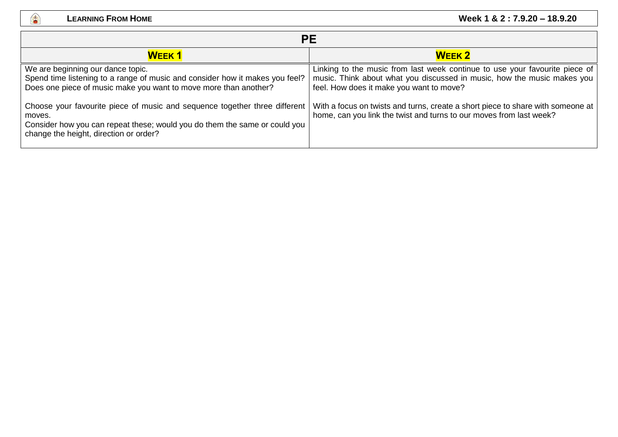

| PЕ                                                                                                                                                                                                                                                                                                                                                                                                    |                                                                                                                                                                                                                                                                                                                                                              |
|-------------------------------------------------------------------------------------------------------------------------------------------------------------------------------------------------------------------------------------------------------------------------------------------------------------------------------------------------------------------------------------------------------|--------------------------------------------------------------------------------------------------------------------------------------------------------------------------------------------------------------------------------------------------------------------------------------------------------------------------------------------------------------|
| <b>WEEK1</b>                                                                                                                                                                                                                                                                                                                                                                                          | <b>WEEK 2</b>                                                                                                                                                                                                                                                                                                                                                |
| We are beginning our dance topic.<br>Spend time listening to a range of music and consider how it makes you feel?<br>Does one piece of music make you want to move more than another?<br>Choose your favourite piece of music and sequence together three different<br>moves.<br>Consider how you can repeat these; would you do them the same or could you<br>change the height, direction or order? | Linking to the music from last week continue to use your favourite piece of<br>music. Think about what you discussed in music, how the music makes you<br>feel. How does it make you want to move?<br>With a focus on twists and turns, create a short piece to share with someone at<br>home, can you link the twist and turns to our moves from last week? |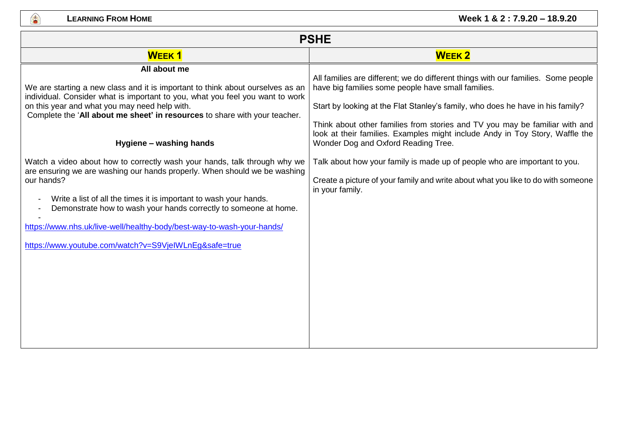**A** 

| <b>PSHE</b>                                                                                                                                                                                                                                                                                                                                                                                                                                      |                                                                                                                                                                                                                                                                                                          |  |
|--------------------------------------------------------------------------------------------------------------------------------------------------------------------------------------------------------------------------------------------------------------------------------------------------------------------------------------------------------------------------------------------------------------------------------------------------|----------------------------------------------------------------------------------------------------------------------------------------------------------------------------------------------------------------------------------------------------------------------------------------------------------|--|
| <b>WEEK1</b>                                                                                                                                                                                                                                                                                                                                                                                                                                     | <b>WEEK2</b>                                                                                                                                                                                                                                                                                             |  |
| All about me<br>We are starting a new class and it is important to think about ourselves as an<br>individual. Consider what is important to you, what you feel you want to work<br>on this year and what you may need help with.<br>Complete the 'All about me sheet' in resources to share with your teacher.                                                                                                                                   | All families are different; we do different things with our families. Some people<br>have big families some people have small families.<br>Start by looking at the Flat Stanley's family, who does he have in his family?<br>Think about other families from stories and TV you may be familiar with and |  |
| Hygiene - washing hands                                                                                                                                                                                                                                                                                                                                                                                                                          | look at their families. Examples might include Andy in Toy Story, Waffle the<br>Wonder Dog and Oxford Reading Tree.                                                                                                                                                                                      |  |
| Watch a video about how to correctly wash your hands, talk through why we<br>are ensuring we are washing our hands properly. When should we be washing<br>our hands?<br>Write a list of all the times it is important to wash your hands.<br>Demonstrate how to wash your hands correctly to someone at home.<br>https://www.nhs.uk/live-well/healthy-body/best-way-to-wash-your-hands/<br>https://www.youtube.com/watch?v=S9VjelWLnEg&safe=true | Talk about how your family is made up of people who are important to you.<br>Create a picture of your family and write about what you like to do with someone<br>in your family.                                                                                                                         |  |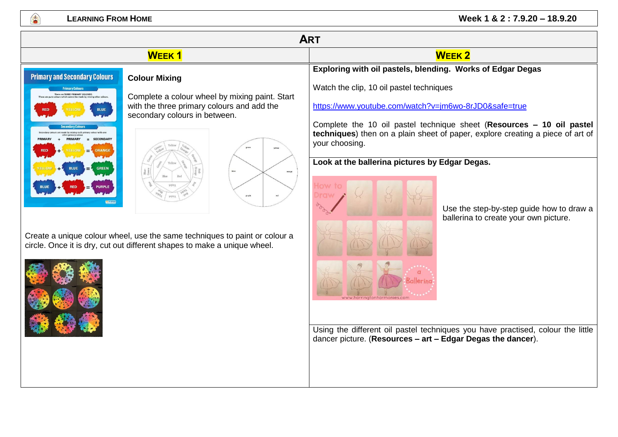## **LEARNING FROM HOME Week 1 & 2 : 7.9.20 – 18.9.20**

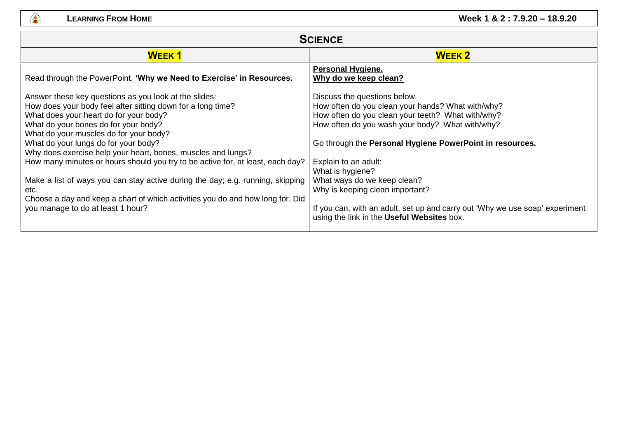●

## **LEARNING FROM HOME CONSUMING <b>EXAMPLE 2** : 7.9.20 – 18.9.20

| <b>SCIENCE</b>                                                                                                                                                                                                                                                                                                                                                                                                                                                                                                                                                                                                                                              |                                                                                                                                                                                                                                                                                                                                                                                                                                                                                                   |
|-------------------------------------------------------------------------------------------------------------------------------------------------------------------------------------------------------------------------------------------------------------------------------------------------------------------------------------------------------------------------------------------------------------------------------------------------------------------------------------------------------------------------------------------------------------------------------------------------------------------------------------------------------------|---------------------------------------------------------------------------------------------------------------------------------------------------------------------------------------------------------------------------------------------------------------------------------------------------------------------------------------------------------------------------------------------------------------------------------------------------------------------------------------------------|
| <b>WEEK1</b>                                                                                                                                                                                                                                                                                                                                                                                                                                                                                                                                                                                                                                                | <b>WEEK 2</b>                                                                                                                                                                                                                                                                                                                                                                                                                                                                                     |
| Read through the PowerPoint, 'Why we Need to Exercise' in Resources.                                                                                                                                                                                                                                                                                                                                                                                                                                                                                                                                                                                        | <b>Personal Hygiene.</b><br>Why do we keep clean?                                                                                                                                                                                                                                                                                                                                                                                                                                                 |
| Answer these key questions as you look at the slides:<br>How does your body feel after sitting down for a long time?<br>What does your heart do for your body?<br>What do your bones do for your body?<br>What do your muscles do for your body?<br>What do your lungs do for your body?<br>Why does exercise help your heart, bones, muscles and lungs?<br>How many minutes or hours should you try to be active for, at least, each day?<br>Make a list of ways you can stay active during the day; e.g. running, skipping<br>etc.<br>Choose a day and keep a chart of which activities you do and how long for. Did<br>you manage to do at least 1 hour? | Discuss the questions below.<br>How often do you clean your hands? What with/why?<br>How often do you clean your teeth? What with/why?<br>How often do you wash your body? What with/why?<br>Go through the Personal Hygiene PowerPoint in resources.<br>Explain to an adult:<br>What is hygiene?<br>What ways do we keep clean?<br>Why is keeping clean important?<br>If you can, with an adult, set up and carry out 'Why we use soap' experiment<br>using the link in the Useful Websites box. |